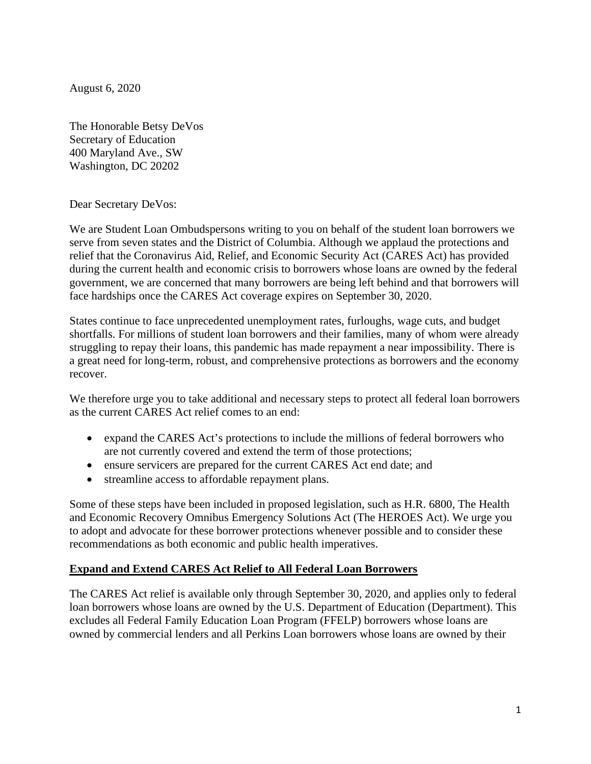August 6, 2020

The Honorable Betsy DeVos Secretary of Education 400 Maryland Ave., SW Washington, DC 20202

Dear Secretary DeVos:

We are Student Loan Ombudspersons writing to you on behalf of the student loan borrowers we serve from seven states and the District of Columbia. Although we applaud the protections and relief that the Coronavirus Aid, Relief, and Economic Security Act (CARES Act) has provided during the current health and economic crisis to borrowers whose loans are owned by the federal government, we are concerned that many borrowers are being left behind and that borrowers will face hardships once the CARES Act coverage expires on September 30, 2020.

States continue to face unprecedented unemployment rates, furloughs, wage cuts, and budget shortfalls. For millions of student loan borrowers and their families, many of whom were already struggling to repay their loans, this pandemic has made repayment a near impossibility. There is a great need for long-term, robust, and comprehensive protections as borrowers and the economy recover.

We therefore urge you to take additional and necessary steps to protect all federal loan borrowers as the current CARES Act relief comes to an end:

- expand the CARES Act's protections to include the millions of federal borrowers who are not currently covered and extend the term of those protections;
- ensure servicers are prepared for the current CARES Act end date; and
- streamline access to affordable repayment plans.

Some of these steps have been included in proposed legislation, such as H.R. 6800, The Health and Economic Recovery Omnibus Emergency Solutions Act (The HEROES Act). We urge you to adopt and advocate for these borrower protections whenever possible and to consider these recommendations as both economic and public health imperatives.

## **Expand and Extend CARES Act Relief to All Federal Loan Borrowers**

The CARES Act relief is available only through September 30, 2020, and applies only to federal loan borrowers whose loans are owned by the U.S. Department of Education (Department). This excludes all Federal Family Education Loan Program (FFELP) borrowers whose loans are owned by commercial lenders and all Perkins Loan borrowers whose loans are owned by their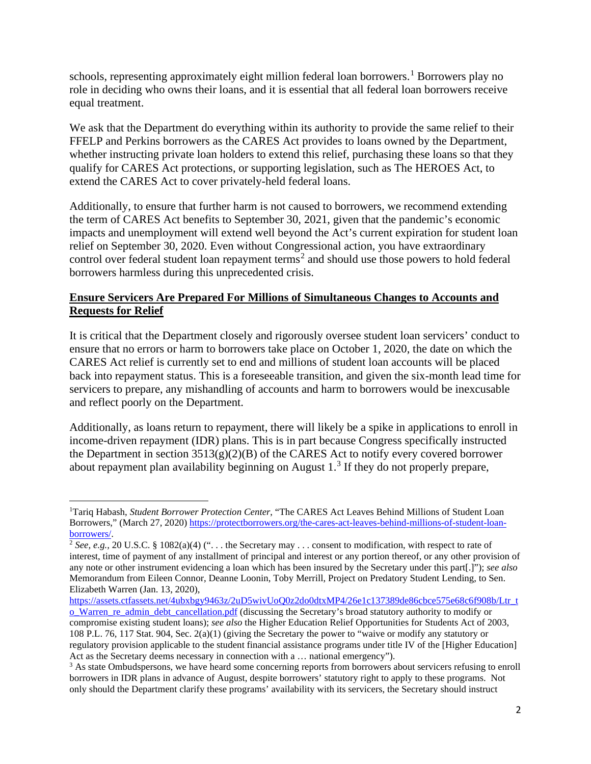schools, representing approximately eight million federal loan borrowers.<sup>[1](#page-1-0)</sup> Borrowers play no role in deciding who owns their loans, and it is essential that all federal loan borrowers receive equal treatment.

We ask that the Department do everything within its authority to provide the same relief to their FFELP and Perkins borrowers as the CARES Act provides to loans owned by the Department, whether instructing private loan holders to extend this relief, purchasing these loans so that they qualify for CARES Act protections, or supporting legislation, such as The HEROES Act, to extend the CARES Act to cover privately-held federal loans.

Additionally, to ensure that further harm is not caused to borrowers, we recommend extending the term of CARES Act benefits to September 30, 2021, given that the pandemic's economic impacts and unemployment will extend well beyond the Act's current expiration for student loan relief on September 30, 2020. Even without Congressional action, you have extraordinary control over federal student loan repayment terms<sup>[2](#page-1-1)</sup> and should use those powers to hold federal borrowers harmless during this unprecedented crisis.

## **Ensure Servicers Are Prepared For Millions of Simultaneous Changes to Accounts and Requests for Relief**

It is critical that the Department closely and rigorously oversee student loan servicers' conduct to ensure that no errors or harm to borrowers take place on October 1, 2020, the date on which the CARES Act relief is currently set to end and millions of student loan accounts will be placed back into repayment status. This is a foreseeable transition, and given the six-month lead time for servicers to prepare, any mishandling of accounts and harm to borrowers would be inexcusable and reflect poorly on the Department.

Additionally, as loans return to repayment, there will likely be a spike in applications to enroll in income-driven repayment (IDR) plans. This is in part because Congress specifically instructed the Department in section  $3513(g)(2)(B)$  of the CARES Act to notify every covered borrower about repayment plan availability beginning on August  $1<sup>3</sup>$  $1<sup>3</sup>$  $1<sup>3</sup>$  If they do not properly prepare,

[https://assets.ctfassets.net/4ubxbgy9463z/2uD5wivUoQ0z2do0dtxMP4/26e1c137389de86cbce575e68c6f908b/Ltr\\_t](https://assets.ctfassets.net/4ubxbgy9463z/2uD5wivUoQ0z2do0dtxMP4/26e1c137389de86cbce575e68c6f908b/Ltr_to_Warren_re_admin_debt_cancellation.pdf) [o\\_Warren\\_re\\_admin\\_debt\\_cancellation.pdf](https://assets.ctfassets.net/4ubxbgy9463z/2uD5wivUoQ0z2do0dtxMP4/26e1c137389de86cbce575e68c6f908b/Ltr_to_Warren_re_admin_debt_cancellation.pdf) (discussing the Secretary's broad statutory authority to modify or

<span id="page-1-0"></span><sup>&</sup>lt;sup>1</sup>Tariq Habash, *Student Borrower Protection Center*, "The CARES Act Leaves Behind Millions of Student Loan Borrowers," (March 27, 2020) [https://protectborrowers.org/the-cares-act-leaves-behind-millions-of-student-loan](https://protectborrowers.org/the-cares-act-leaves-behind-millions-of-student-loan-borrowers/)[borrowers/.](https://protectborrowers.org/the-cares-act-leaves-behind-millions-of-student-loan-borrowers/)

<span id="page-1-1"></span> $\sqrt[2]{2}$  *See, e.g.*, 20 U.S.C. § 1082(a)(4) ("... the Secretary may ... consent to modification, with respect to rate of interest, time of payment of any installment of principal and interest or any portion thereof, or any other provision of any note or other instrument evidencing a loan which has been insured by the Secretary under this part[.]"); *see also*  Memorandum from Eileen Connor, Deanne Loonin, Toby Merrill, Project on Predatory Student Lending, to Sen. Elizabeth Warren (Jan. 13, 2020),

compromise existing student loans); *see also* the Higher Education Relief Opportunities for Students Act of 2003, 108 P.L. 76, 117 Stat. 904, Sec. 2(a)(1) (giving the Secretary the power to "waive or modify any statutory or regulatory provision applicable to the student financial assistance programs under title IV of the [Higher Education] Act as the Secretary deems necessary in connection with a ... national emergency").

<span id="page-1-2"></span><sup>&</sup>lt;sup>3</sup> As state Ombudspersons, we have heard some concerning reports from borrowers about servicers refusing to enroll borrowers in IDR plans in advance of August, despite borrowers' statutory right to apply to these programs. Not only should the Department clarify these programs' availability with its servicers, the Secretary should instruct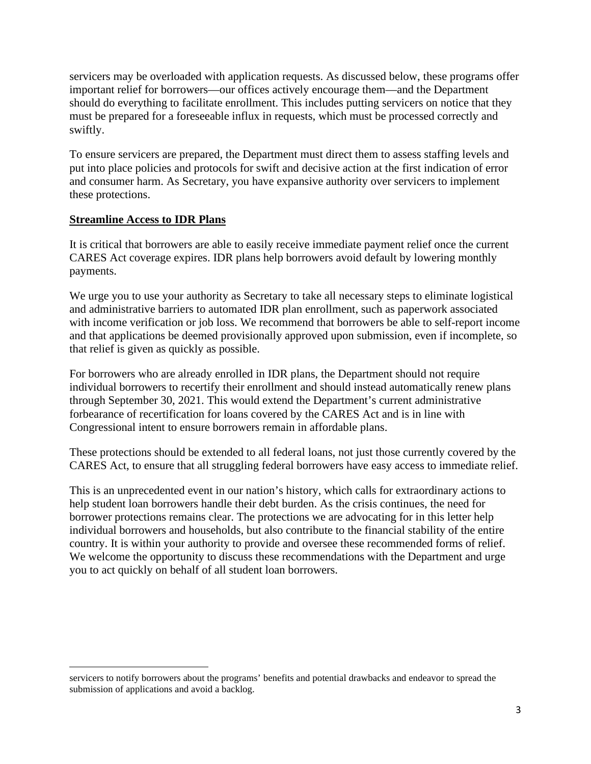servicers may be overloaded with application requests. As discussed below, these programs offer important relief for borrowers—our offices actively encourage them—and the Department should do everything to facilitate enrollment. This includes putting servicers on notice that they must be prepared for a foreseeable influx in requests, which must be processed correctly and swiftly.

To ensure servicers are prepared, the Department must direct them to assess staffing levels and put into place policies and protocols for swift and decisive action at the first indication of error and consumer harm. As Secretary, you have expansive authority over servicers to implement these protections.

## **Streamline Access to IDR Plans**

It is critical that borrowers are able to easily receive immediate payment relief once the current CARES Act coverage expires. IDR plans help borrowers avoid default by lowering monthly payments.

We urge you to use your authority as Secretary to take all necessary steps to eliminate logistical and administrative barriers to automated IDR plan enrollment, such as paperwork associated with income verification or job loss. We recommend that borrowers be able to self-report income and that applications be deemed provisionally approved upon submission, even if incomplete, so that relief is given as quickly as possible.

For borrowers who are already enrolled in IDR plans, the Department should not require individual borrowers to recertify their enrollment and should instead automatically renew plans through September 30, 2021. This would extend the Department's current administrative forbearance of recertification for loans covered by the CARES Act and is in line with Congressional intent to ensure borrowers remain in affordable plans.

These protections should be extended to all federal loans, not just those currently covered by the CARES Act, to ensure that all struggling federal borrowers have easy access to immediate relief.

This is an unprecedented event in our nation's history, which calls for extraordinary actions to help student loan borrowers handle their debt burden. As the crisis continues, the need for borrower protections remains clear. The protections we are advocating for in this letter help individual borrowers and households, but also contribute to the financial stability of the entire country. It is within your authority to provide and oversee these recommended forms of relief. We welcome the opportunity to discuss these recommendations with the Department and urge you to act quickly on behalf of all student loan borrowers.

servicers to notify borrowers about the programs' benefits and potential drawbacks and endeavor to spread the submission of applications and avoid a backlog.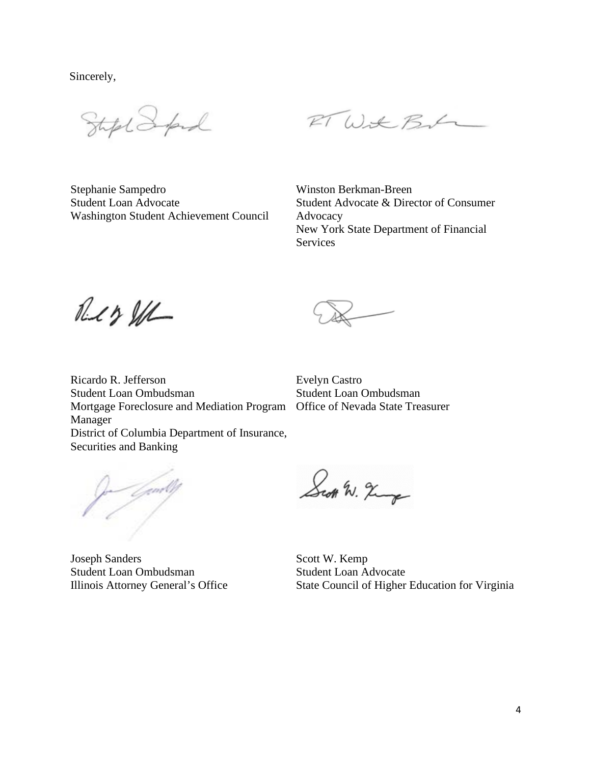Sincerely,

Steph Superf

ET With Bit

Stephanie Sampedro Student Loan Advocate Washington Student Achievement Council

Winston Berkman-Breen Student Advocate & Director of Consumer Advocacy New York State Department of Financial Services

Red & UL

Ricardo R. Jefferson Student Loan Ombudsman Mortgage Foreclosure and Mediation Program Office of Nevada State Treasurer Manager District of Columbia Department of Insurance, Securities and Banking

Evelyn Castro Student Loan Ombudsman

- (gallt<br>|-

Joseph Sanders Student Loan Ombudsman Illinois Attorney General's Office

Scott W. Timp

Scott W. Kemp Student Loan Advocate State Council of Higher Education for Virginia